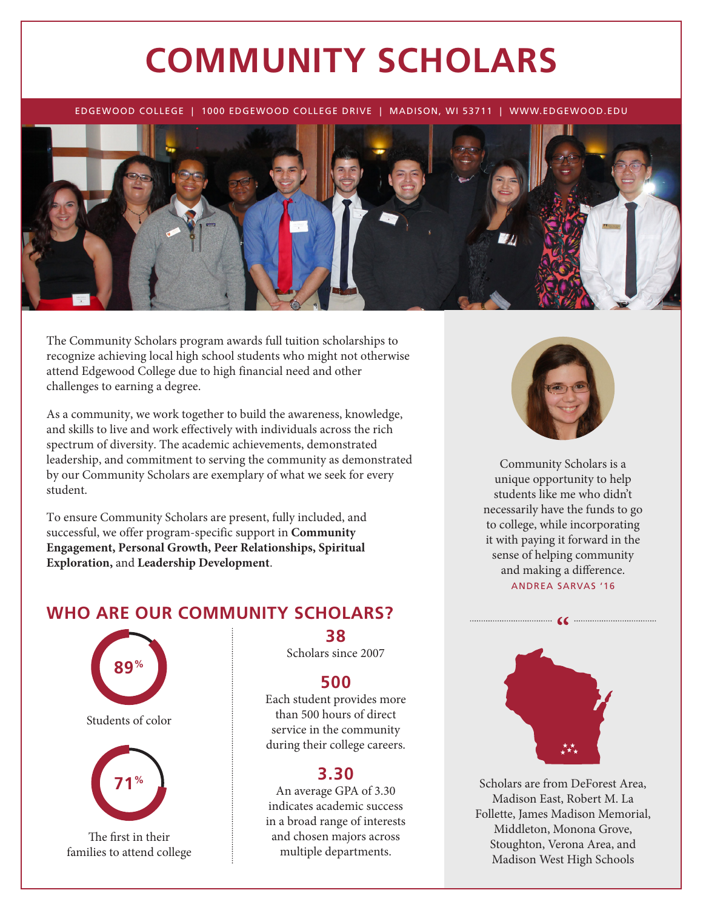# **COMMUNITY SCHOLARS**

EDGEWOOD COLLEGE | 1000 EDGEWOOD COLLEGE DRIVE | MADISON, WI 53711 | WWW.EDGEWOOD.EDU



The Community Scholars program awards full tuition scholarships to recognize achieving local high school students who might not otherwise attend Edgewood College due to high financial need and other challenges to earning a degree.

As a community, we work together to build the awareness, knowledge, and skills to live and work effectively with individuals across the rich spectrum of diversity. The academic achievements, demonstrated leadership, and commitment to serving the community as demonstrated by our Community Scholars are exemplary of what we seek for every student.

To ensure Community Scholars are present, fully included, and successful, we offer program-specific support in **Community Engagement, Personal Growth, Peer Relationships, Spiritual Exploration,** and **Leadership Development**.

## **WHO ARE OUR COMMUNITY SCHOLARS?**



**38** Scholars since 2007

## **500**

Each student provides more than 500 hours of direct service in the community during their college careers.

### **3.30**

An average GPA of 3.30 indicates academic success in a broad range of interests and chosen majors across multiple departments.



Community Scholars is a unique opportunity to help students like me who didn't necessarily have the funds to go to college, while incorporating it with paying it forward in the sense of helping community and making a difference.

ANDREA SARVAS '16

 $\bullet$ 



Scholars are from DeForest Area, Madison East, Robert M. La Follette, James Madison Memorial, Middleton, Monona Grove, Stoughton, Verona Area, and Madison West High Schools